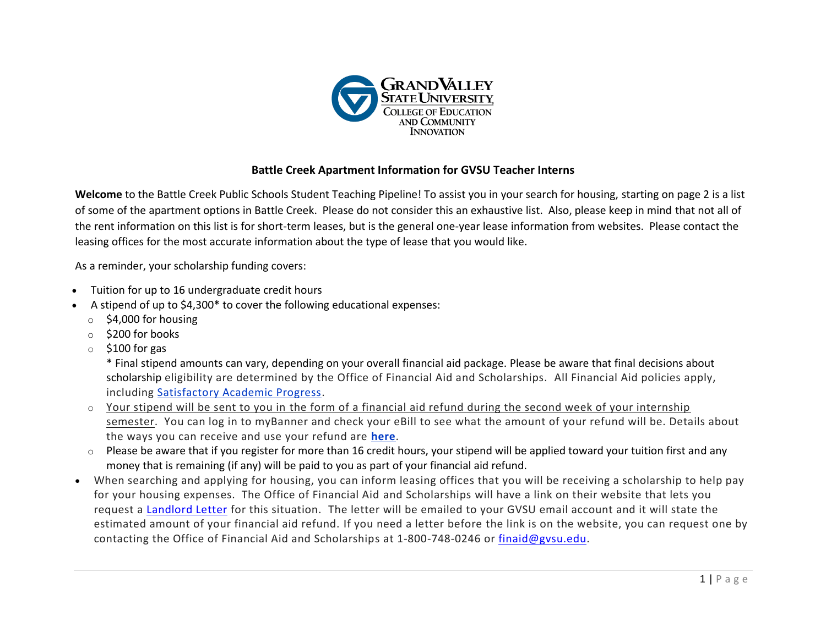

## **Battle Creek Apartment Information for GVSU Teacher Interns**

**Welcome** to the Battle Creek Public Schools Student Teaching Pipeline! To assist you in your search for housing, starting on page 2 is a list of some of the apartment options in Battle Creek. Please do not consider this an exhaustive list. Also, please keep in mind that not all of the rent information on this list is for short-term leases, but is the general one-year lease information from websites. Please contact the leasing offices for the most accurate information about the type of lease that you would like.

As a reminder, your scholarship funding covers:

- Tuition for up to 16 undergraduate credit hours
- A stipend of up to \$4,300\* to cover the following educational expenses:
	- $\circ$  \$4,000 for housing
	- o \$200 for books
	- $\circ$  \$100 for gas

\* Final stipend amounts can vary, depending on your overall financial aid package. Please be aware that final decisions about scholarship eligibility are determined by the Office of Financial Aid and Scholarships. All Financial Aid policies apply, including [Satisfactory Academic Progress.](https://www.gvsu.edu/financialaid/satisfactory-academic-progress-sap-17.htm)

- $\circ$  Your stipend will be sent to you in the form of a financial aid refund during the second week of your internship semester. You can log in to myBanner and check your eBill to see what the amount of your refund will be. Details about the ways you can receive and use your refund are **[here](https://www.gvsu.edu/studentaccounts/direct-deposit-of-financial-aid-and-tuition-refunds-26.htm)**.
- $\circ$  Please be aware that if you register for more than 16 credit hours, your stipend will be applied toward your tuition first and any money that is remaining (if any) will be paid to you as part of your financial aid refund.
- When searching and applying for housing, you can inform leasing offices that you will be receiving a scholarship to help pay for your housing expenses. The Office of Financial Aid and Scholarships will have a link on their website that lets you request a [Landlord Letter](https://www.gvsu.edu/financialaid/cms-form-edit.htm?formId=50AB361C-AD37-B0F4-06F2C29D5EB47ACD) for this situation. The letter will be emailed to your GVSU email account and it will state the estimated amount of your financial aid refund. If you need a letter before the link is on the website, you can request one by contacting the Office of Financial Aid and Scholarships at 1-800-748-0246 or [finaid@gvsu.edu.](mailto:finaid@gvsu.edu)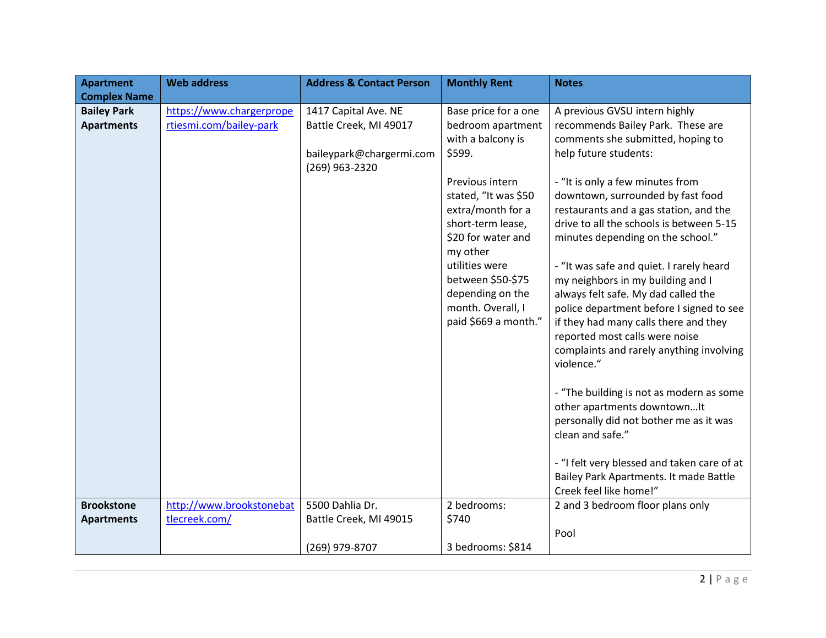| <b>Apartment</b>    | <b>Web address</b>       | <b>Address &amp; Contact Person</b> | <b>Monthly Rent</b>  | <b>Notes</b>                                |
|---------------------|--------------------------|-------------------------------------|----------------------|---------------------------------------------|
| <b>Complex Name</b> |                          |                                     |                      |                                             |
| <b>Bailey Park</b>  | https://www.chargerprope | 1417 Capital Ave. NE                | Base price for a one | A previous GVSU intern highly               |
| <b>Apartments</b>   | rtiesmi.com/bailey-park  | Battle Creek, MI 49017              | bedroom apartment    | recommends Bailey Park. These are           |
|                     |                          |                                     | with a balcony is    | comments she submitted, hoping to           |
|                     |                          | baileypark@chargermi.com            | \$599.               | help future students:                       |
|                     |                          | (269) 963-2320                      |                      |                                             |
|                     |                          |                                     | Previous intern      | - "It is only a few minutes from            |
|                     |                          |                                     | stated, "It was \$50 | downtown, surrounded by fast food           |
|                     |                          |                                     | extra/month for a    | restaurants and a gas station, and the      |
|                     |                          |                                     | short-term lease,    | drive to all the schools is between 5-15    |
|                     |                          |                                     | \$20 for water and   | minutes depending on the school."           |
|                     |                          |                                     | my other             |                                             |
|                     |                          |                                     | utilities were       | - "It was safe and quiet. I rarely heard    |
|                     |                          |                                     | between \$50-\$75    | my neighbors in my building and I           |
|                     |                          |                                     | depending on the     | always felt safe. My dad called the         |
|                     |                          |                                     | month. Overall, I    | police department before I signed to see    |
|                     |                          |                                     | paid \$669 a month." | if they had many calls there and they       |
|                     |                          |                                     |                      | reported most calls were noise              |
|                     |                          |                                     |                      | complaints and rarely anything involving    |
|                     |                          |                                     |                      | violence."                                  |
|                     |                          |                                     |                      |                                             |
|                     |                          |                                     |                      | - "The building is not as modern as some    |
|                     |                          |                                     |                      | other apartments downtownIt                 |
|                     |                          |                                     |                      | personally did not bother me as it was      |
|                     |                          |                                     |                      | clean and safe."                            |
|                     |                          |                                     |                      |                                             |
|                     |                          |                                     |                      | - "I felt very blessed and taken care of at |
|                     |                          |                                     |                      | Bailey Park Apartments. It made Battle      |
|                     |                          |                                     |                      | Creek feel like home!"                      |
| <b>Brookstone</b>   | http://www.brookstonebat | 5500 Dahlia Dr.                     | 2 bedrooms:          | 2 and 3 bedroom floor plans only            |
| <b>Apartments</b>   | tlecreek.com/            | Battle Creek, MI 49015              | \$740                |                                             |
|                     |                          |                                     |                      | Pool                                        |
|                     |                          | (269) 979-8707                      | 3 bedrooms: \$814    |                                             |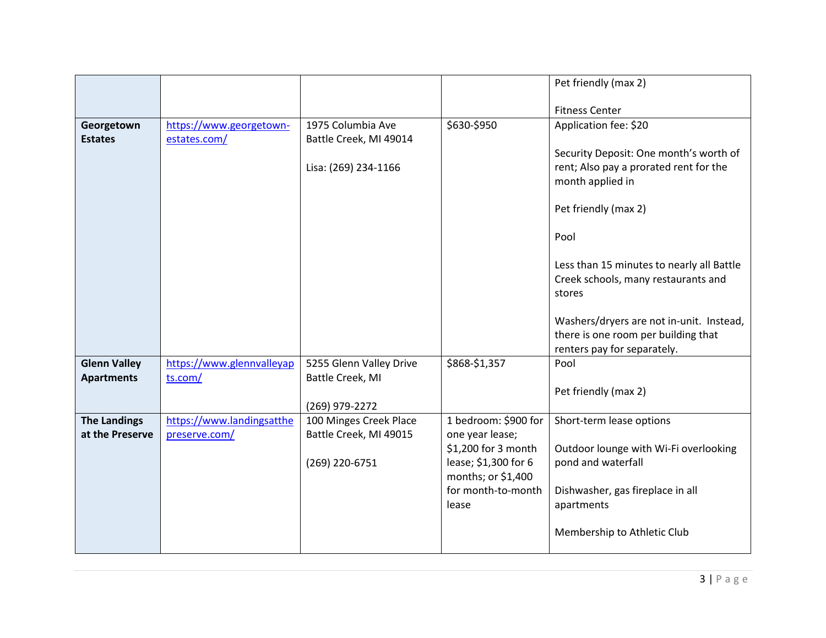|                     |                           |                         |                                          | Pet friendly (max 2)                                       |
|---------------------|---------------------------|-------------------------|------------------------------------------|------------------------------------------------------------|
|                     |                           |                         |                                          | <b>Fitness Center</b>                                      |
| Georgetown          | https://www.georgetown-   | 1975 Columbia Ave       | \$630-\$950                              | Application fee: \$20                                      |
| <b>Estates</b>      | estates.com/              | Battle Creek, MI 49014  |                                          |                                                            |
|                     |                           |                         |                                          | Security Deposit: One month's worth of                     |
|                     |                           | Lisa: (269) 234-1166    |                                          | rent; Also pay a prorated rent for the<br>month applied in |
|                     |                           |                         |                                          |                                                            |
|                     |                           |                         |                                          | Pet friendly (max 2)                                       |
|                     |                           |                         |                                          | Pool                                                       |
|                     |                           |                         |                                          | Less than 15 minutes to nearly all Battle                  |
|                     |                           |                         |                                          | Creek schools, many restaurants and                        |
|                     |                           |                         |                                          | stores                                                     |
|                     |                           |                         |                                          | Washers/dryers are not in-unit. Instead,                   |
|                     |                           |                         |                                          | there is one room per building that                        |
|                     |                           |                         |                                          | renters pay for separately.                                |
| <b>Glenn Valley</b> | https://www.glennvalleyap | 5255 Glenn Valley Drive | \$868-\$1,357                            | Pool                                                       |
| <b>Apartments</b>   | ts.com/                   | Battle Creek, MI        |                                          | Pet friendly (max 2)                                       |
|                     |                           | (269) 979-2272          |                                          |                                                            |
| <b>The Landings</b> | https://www.landingsatthe | 100 Minges Creek Place  | 1 bedroom: \$900 for                     | Short-term lease options                                   |
| at the Preserve     | preserve.com/             | Battle Creek, MI 49015  | one year lease;                          |                                                            |
|                     |                           |                         | \$1,200 for 3 month                      | Outdoor lounge with Wi-Fi overlooking                      |
|                     |                           | (269) 220-6751          | lease; \$1,300 for 6                     | pond and waterfall                                         |
|                     |                           |                         | months; or \$1,400<br>for month-to-month | Dishwasher, gas fireplace in all                           |
|                     |                           |                         | lease                                    | apartments                                                 |
|                     |                           |                         |                                          |                                                            |
|                     |                           |                         |                                          | Membership to Athletic Club                                |
|                     |                           |                         |                                          |                                                            |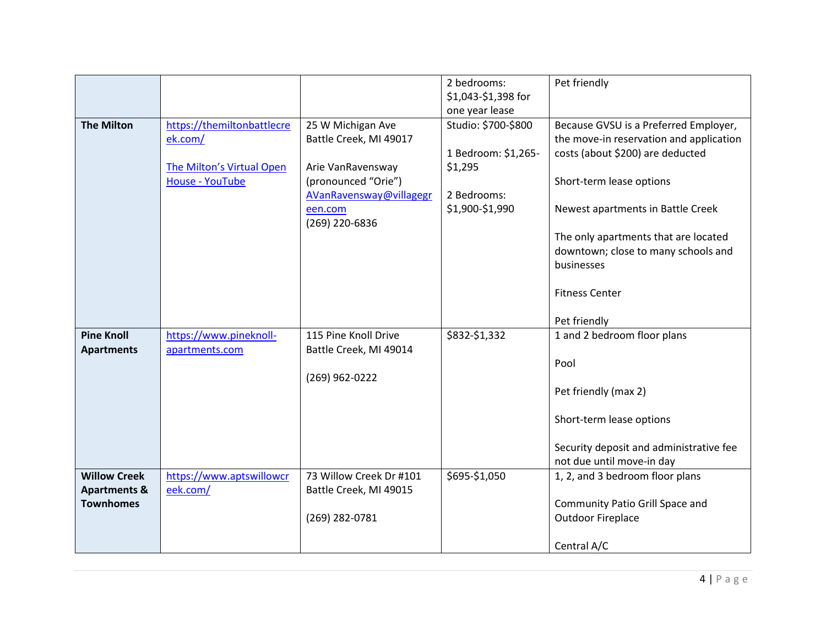|                         |                            |                           | 2 bedrooms:<br>\$1,043-\$1,398 for | Pet friendly                            |
|-------------------------|----------------------------|---------------------------|------------------------------------|-----------------------------------------|
|                         |                            |                           | one year lease                     |                                         |
| <b>The Milton</b>       | https://themiltonbattlecre | 25 W Michigan Ave         | Studio: \$700-\$800                | Because GVSU is a Preferred Employer,   |
|                         | ek.com/                    | Battle Creek, MI 49017    |                                    | the move-in reservation and application |
|                         |                            |                           | 1 Bedroom: \$1,265-                | costs (about \$200) are deducted        |
|                         | The Milton's Virtual Open  | Arie VanRavensway         | \$1,295                            |                                         |
|                         | <b>House - YouTube</b>     | (pronounced "Orie")       |                                    | Short-term lease options                |
|                         |                            | AVanRavensway@villagegr   | 2 Bedrooms:                        |                                         |
|                         |                            | een.com<br>(269) 220-6836 | \$1,900-\$1,990                    | Newest apartments in Battle Creek       |
|                         |                            |                           |                                    | The only apartments that are located    |
|                         |                            |                           |                                    | downtown; close to many schools and     |
|                         |                            |                           |                                    | businesses                              |
|                         |                            |                           |                                    |                                         |
|                         |                            |                           |                                    | <b>Fitness Center</b>                   |
|                         |                            |                           |                                    |                                         |
|                         |                            |                           |                                    | Pet friendly                            |
| <b>Pine Knoll</b>       | https://www.pineknoll-     | 115 Pine Knoll Drive      | \$832-\$1,332                      | 1 and 2 bedroom floor plans             |
| <b>Apartments</b>       | apartments.com             | Battle Creek, MI 49014    |                                    | Pool                                    |
|                         |                            | (269) 962-0222            |                                    |                                         |
|                         |                            |                           |                                    | Pet friendly (max 2)                    |
|                         |                            |                           |                                    |                                         |
|                         |                            |                           |                                    | Short-term lease options                |
|                         |                            |                           |                                    |                                         |
|                         |                            |                           |                                    | Security deposit and administrative fee |
|                         |                            |                           |                                    | not due until move-in day               |
| <b>Willow Creek</b>     | https://www.aptswillowcr   | 73 Willow Creek Dr #101   | \$695-\$1,050                      | 1, 2, and 3 bedroom floor plans         |
| <b>Apartments &amp;</b> | eek.com/                   | Battle Creek, MI 49015    |                                    |                                         |
| <b>Townhomes</b>        |                            |                           |                                    | Community Patio Grill Space and         |
|                         |                            | (269) 282-0781            |                                    | <b>Outdoor Fireplace</b>                |
|                         |                            |                           |                                    | Central A/C                             |